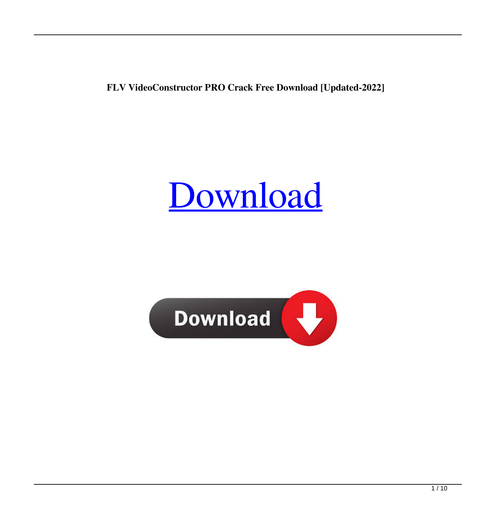**FLV VideoConstructor PRO Crack Free Download [Updated-2022]**

## [Download](http://evacdir.com/sanitizes.impossibility.blurred.ZG93bmxvYWR8NUllYzNGbWZId3hOalUwTlRJeU1URXdmSHd5TlRrd2ZId29UU2tnVjI5eVpIQnlaWE56SUZ0WVRVeFNVRU1nVmpJZ1VFUkdYUQ.mckimson.RkxWIFZpZGVvQ29uc3RydWN0b3IgUFJPRkx.sodom)

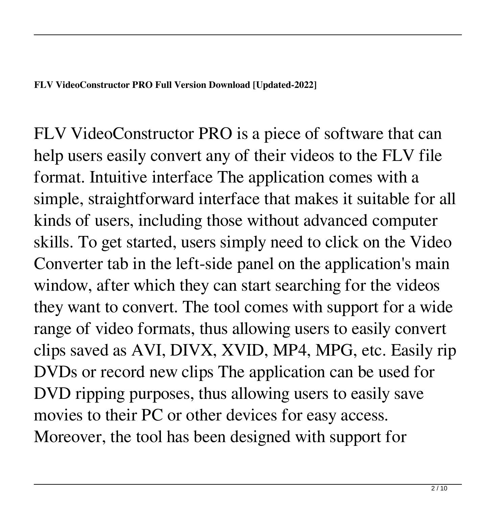FLV VideoConstructor PRO is a piece of software that can help users easily convert any of their videos to the FLV file format. Intuitive interface The application comes with a simple, straightforward interface that makes it suitable for all kinds of users, including those without advanced computer skills. To get started, users simply need to click on the Video Converter tab in the left-side panel on the application's main window, after which they can start searching for the videos they want to convert. The tool comes with support for a wide range of video formats, thus allowing users to easily convert clips saved as AVI, DIVX, XVID, MP4, MPG, etc. Easily rip DVDs or record new clips The application can be used for DVD ripping purposes, thus allowing users to easily save movies to their PC or other devices for easy access. Moreover, the tool has been designed with support for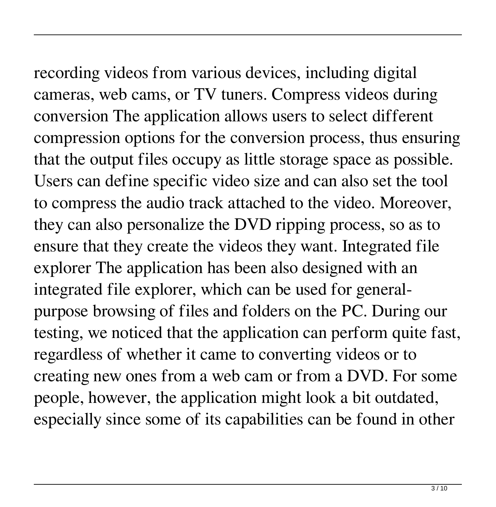## recording videos from various devices, including digital

cameras, web cams, or TV tuners. Compress videos during conversion The application allows users to select different compression options for the conversion process, thus ensuring that the output files occupy as little storage space as possible. Users can define specific video size and can also set the tool to compress the audio track attached to the video. Moreover, they can also personalize the DVD ripping process, so as to ensure that they create the videos they want. Integrated file explorer The application has been also designed with an integrated file explorer, which can be used for generalpurpose browsing of files and folders on the PC. During our testing, we noticed that the application can perform quite fast, regardless of whether it came to converting videos or to creating new ones from a web cam or from a DVD. For some people, however, the application might look a bit outdated, especially since some of its capabilities can be found in other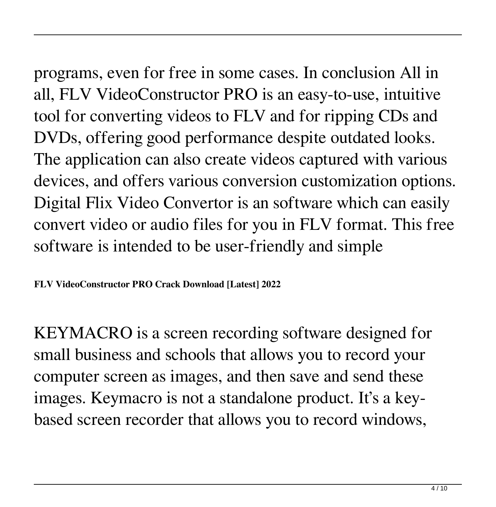programs, even for free in some cases. In conclusion All in all, FLV VideoConstructor PRO is an easy-to-use, intuitive tool for converting videos to FLV and for ripping CDs and DVDs, offering good performance despite outdated looks. The application can also create videos captured with various devices, and offers various conversion customization options. Digital Flix Video Convertor is an software which can easily convert video or audio files for you in FLV format. This free software is intended to be user-friendly and simple

**FLV VideoConstructor PRO Crack Download [Latest] 2022**

KEYMACRO is a screen recording software designed for small business and schools that allows you to record your computer screen as images, and then save and send these images. Keymacro is not a standalone product. It's a keybased screen recorder that allows you to record windows,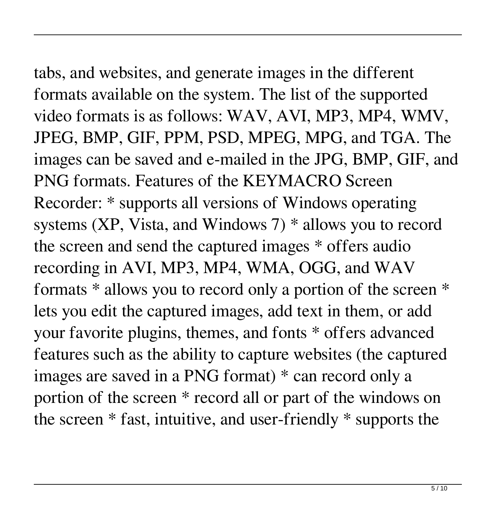tabs, and websites, and generate images in the different formats available on the system. The list of the supported video formats is as follows: WAV, AVI, MP3, MP4, WMV, JPEG, BMP, GIF, PPM, PSD, MPEG, MPG, and TGA. The images can be saved and e-mailed in the JPG, BMP, GIF, and PNG formats. Features of the KEYMACRO Screen Recorder: \* supports all versions of Windows operating systems  $(XP, Vista, and Windows 7) * allows you to record$ the screen and send the captured images \* offers audio recording in AVI, MP3, MP4, WMA, OGG, and WAV formats \* allows you to record only a portion of the screen \* lets you edit the captured images, add text in them, or add your favorite plugins, themes, and fonts \* offers advanced features such as the ability to capture websites (the captured images are saved in a PNG format) \* can record only a

portion of the screen \* record all or part of the windows on the screen \* fast, intuitive, and user-friendly \* supports the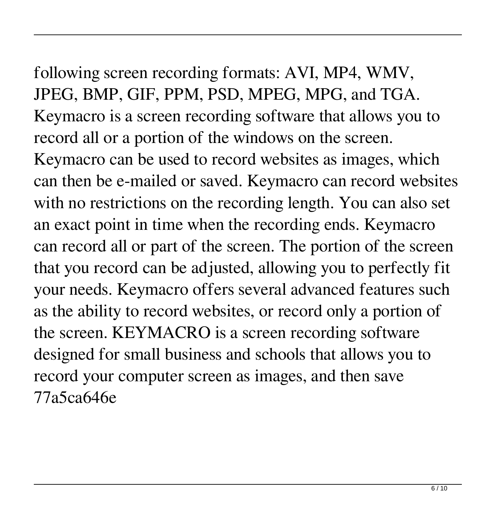## following screen recording formats: AVI, MP4, WMV, JPEG, BMP, GIF, PPM, PSD, MPEG, MPG, and TGA. Keymacro is a screen recording software that allows you to record all or a portion of the windows on the screen. Keymacro can be used to record websites as images, which can then be e-mailed or saved. Keymacro can record websites with no restrictions on the recording length. You can also set an exact point in time when the recording ends. Keymacro can record all or part of the screen. The portion of the screen that you record can be adjusted, allowing you to perfectly fit your needs. Keymacro offers several advanced features such as the ability to record websites, or record only a portion of

the screen. KEYMACRO is a screen recording software

record your computer screen as images, and then save

77a5ca646e

designed for small business and schools that allows you to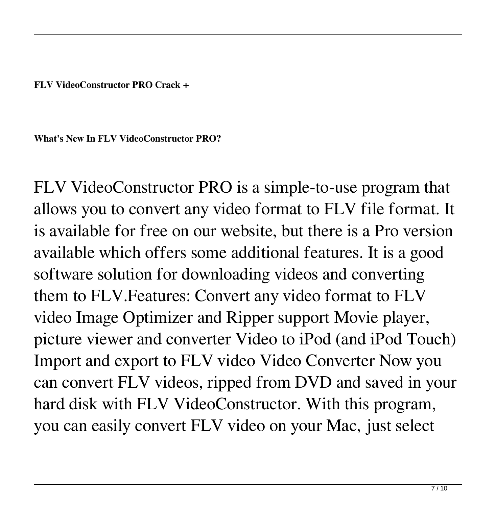**FLV VideoConstructor PRO Crack +**

**What's New In FLV VideoConstructor PRO?**

FLV VideoConstructor PRO is a simple-to-use program that allows you to convert any video format to FLV file format. It is available for free on our website, but there is a Pro version available which offers some additional features. It is a good software solution for downloading videos and converting them to FLV.Features: Convert any video format to FLV video Image Optimizer and Ripper support Movie player, picture viewer and converter Video to iPod (and iPod Touch) Import and export to FLV video Video Converter Now you can convert FLV videos, ripped from DVD and saved in your hard disk with FLV VideoConstructor. With this program, you can easily convert FLV video on your Mac, just select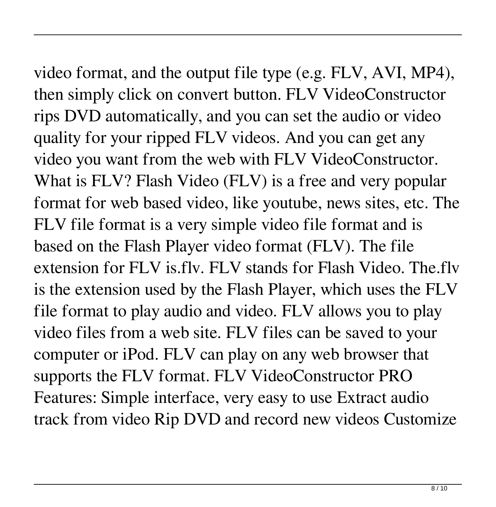video format, and the output file type (e.g. FLV, AVI, MP4), then simply click on convert button. FLV VideoConstructor rips DVD automatically, and you can set the audio or video quality for your ripped FLV videos. And you can get any video you want from the web with FLV VideoConstructor. What is FLV? Flash Video (FLV) is a free and very popular format for web based video, like youtube, news sites, etc. The FLV file format is a very simple video file format and is based on the Flash Player video format (FLV). The file extension for FLV is.flv. FLV stands for Flash Video. The.flv is the extension used by the Flash Player, which uses the FLV file format to play audio and video. FLV allows you to play video files from a web site. FLV files can be saved to your computer or iPod. FLV can play on any web browser that supports the FLV format. FLV VideoConstructor PRO Features: Simple interface, very easy to use Extract audio

track from video Rip DVD and record new videos Customize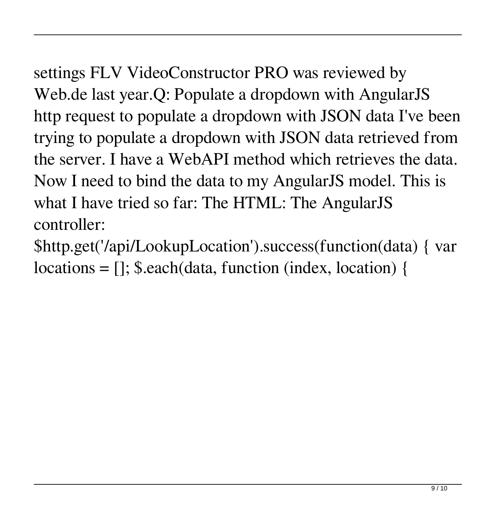settings FLV VideoConstructor PRO was reviewed by Web.de last year.Q: Populate a dropdown with AngularJS http request to populate a dropdown with JSON data I've been trying to populate a dropdown with JSON data retrieved from the server. I have a WebAPI method which retrieves the data. Now I need to bind the data to my AngularJS model. This is what I have tried so far: The HTML: The AngularJS controller:

\$http.get('/api/LookupLocation').success(function(data) { var locations = []; \$.each(data, function (index, location) {